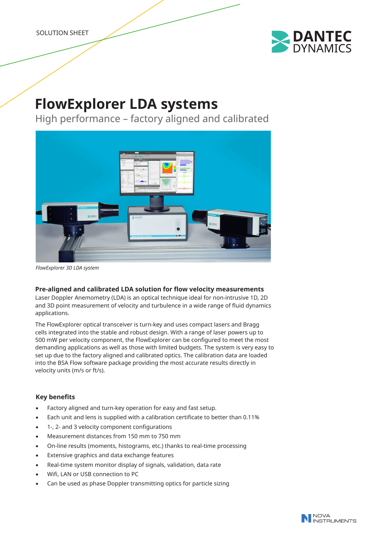

# **FlowExplorer LDA systems**

High performance – factory aligned and calibrated



*FlowExplorer 3D LDA system*

## **Pre-aligned and calibrated LDA solution for flow velocity measurements**

Laser Doppler Anemometry (LDA) is an optical technique ideal for non-intrusive 1D, 2D and 3D point measurement of velocity and turbulence in a wide range of fluid dynamics applications.

The FlowExplorer optical transceiver is turn-key and uses compact lasers and Bragg cells integrated into the stable and robust design. With a range of laser powers up to 500 mW per velocity component, the FlowExplorer can be configured to meet the most demanding applications as well as those with limited budgets. The system is very easy to set up due to the factory aligned and calibrated optics. The calibration data are loaded into the BSA Flow software package providing the most accurate results directly in velocity units (m/s or ft/s).

# **Key benefits**

- Factory aligned and turn-key operation for easy and fast setup.
- Each unit and lens is supplied with a calibration certificate to better than 0.11%
- 1-, 2- and 3 velocity component configurations
- Measurement distances from 150 mm to 750 mm
- On-line results (moments, histograms, etc.) thanks to real-time processing
- Extensive graphics and data exchange features
- Real-time system monitor display of signals, validation, data rate
- Wifi, LAN or USB connection to PC
- Can be used as phase Doppler transmitting optics for particle sizing

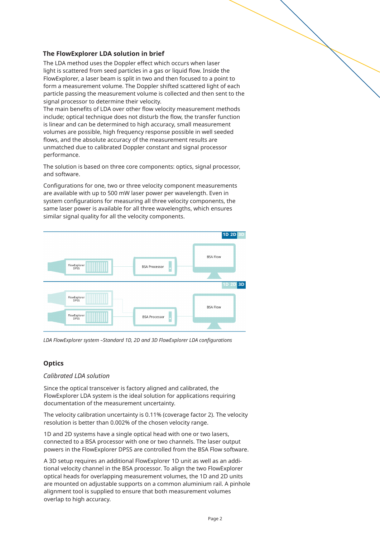## **The FlowExplorer LDA solution in brief**

The LDA method uses the Doppler effect which occurs when laser light is scattered from seed particles in a gas or liquid flow. Inside the FlowExplorer, a laser beam is split in two and then focused to a point to form a measurement volume. The Doppler shifted scattered light of each particle passing the measurement volume is collected and then sent to the signal processor to determine their velocity.

The main benefits of LDA over other flow velocity measurement methods include; optical technique does not disturb the flow, the transfer function is linear and can be determined to high accuracy, small measurement volumes are possible, high frequency response possible in well seeded flows, and the absolute accuracy of the measurement results are unmatched due to calibrated Doppler constant and signal processor performance.

The solution is based on three core components: optics, signal processor, and software.

Configurations for one, two or three velocity component measurements are available with up to 500 mW laser power per wavelength. Even in system configurations for measuring all three velocity components, the same laser power is available for all three wavelengths, which ensures similar signal quality for all the velocity components.



*LDA FlowExplorer system –Standard 1D, 2D and 3D FlowExplorer LDA configurations*

# **Optics**

## *Calibrated LDA solution*

Since the optical transceiver is factory aligned and calibrated, the FlowExplorer LDA system is the ideal solution for applications requiring documentation of the measurement uncertainty.

The velocity calibration uncertainty is 0.11% (coverage factor 2). The velocity resolution is better than 0.002% of the chosen velocity range.

1D and 2D systems have a single optical head with one or two lasers, connected to a BSA processor with one or two channels. The laser output powers in the FlowExplorer DPSS are controlled from the BSA Flow software.

A 3D setup requires an additional FlowExplorer 1D unit as well as an additional velocity channel in the BSA processor. To align the two FlowExplorer optical heads for overlapping measurement volumes, the 1D and 2D units are mounted on adjustable supports on a common aluminium rail. A pinhole alignment tool is supplied to ensure that both measurement volumes overlap to high accuracy.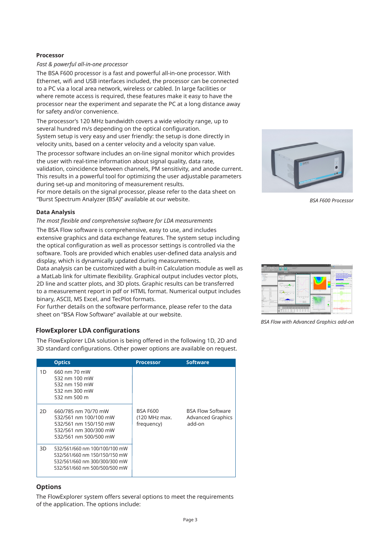#### **Processor**

#### *Fast & powerful all-in-one processor*

The BSA F600 processor is a fast and powerful all-in-one processor. With Ethernet, wifi and USB interfaces included, the processor can be connected to a PC via a local area network, wireless or cabled. In large facilities or where remote access is required, these features make it easy to have the processor near the experiment and separate the PC at a long distance away for safety and/or convenience.

The processor's 120 MHz bandwidth covers a wide velocity range, up to several hundred m/s depending on the optical configuration. System setup is very easy and user friendly: the setup is done directly in velocity units, based on a center velocity and a velocity span value.

The processor software includes an on-line signal monitor which provides the user with real-time information about signal quality, data rate, validation, coincidence between channels, PM sensitivity, and anode current. This results in a powerful tool for optimizing the user adjustable parameters during set-up and monitoring of measurement results.

For more details on the signal processor, please refer to the data sheet on "Burst Spectrum Analyzer (BSA)" available at our website.

#### **Data Analysis**

#### *The most flexible and comprehensive software for LDA measurements*

The BSA Flow software is comprehensive, easy to use, and includes extensive graphics and data exchange features. The system setup including the optical configuration as well as processor settings is controlled via the software. Tools are provided which enables user-defined data analysis and display, which is dynamically updated during measurements.

Data analysis can be customized with a built-in Calculation module as well as a MatLab link for ultimate flexibility. Graphical output includes vector plots, 2D line and scatter plots, and 3D plots. Graphic results can be transferred to a measurement report in pdf or HTML format. Numerical output includes binary, ASCII, MS Excel, and TecPlot formats.

For further details on the software performance, please refer to the data sheet on "BSA Flow Software" available at our website.

## **FlowExplorer LDA configurations**

The FlowExplorer LDA solution is being offered in the following 1D, 2D and 3D standard configurations. Other power options are available on request.

|    | <b>Optics</b>                                                                                                                    | <b>Processor</b>                               | <b>Software</b>                                                |
|----|----------------------------------------------------------------------------------------------------------------------------------|------------------------------------------------|----------------------------------------------------------------|
| 1D | 660 nm 70 mW<br>532 nm 100 mW<br>532 nm 150 mW<br>532 nm 300 mW<br>532 nm 500 m                                                  |                                                |                                                                |
| 2D | 660/785 nm 70/70 mW<br>532/561 nm 100/100 mW<br>532/561 nm 150/150 mW<br>532/561 nm 300/300 mW<br>532/561 nm 500/500 mW          | <b>BSA F600</b><br>(120 MHz max.<br>frequency) | <b>BSA Flow Software</b><br><b>Advanced Graphics</b><br>add-on |
| 3D | 532/561/660 nm 100/100/100 mW<br>532/561/660 nm 150/150/150 mW<br>532/561/660 nm 300/300/300 mW<br>532/561/660 nm 500/500/500 mW |                                                |                                                                |

## **Options**

The FlowExplorer system offers several options to meet the requirements of the application. The options include:



 *BSA F600 Processor* 



*BSA Flow with Advanced Graphics add-on*